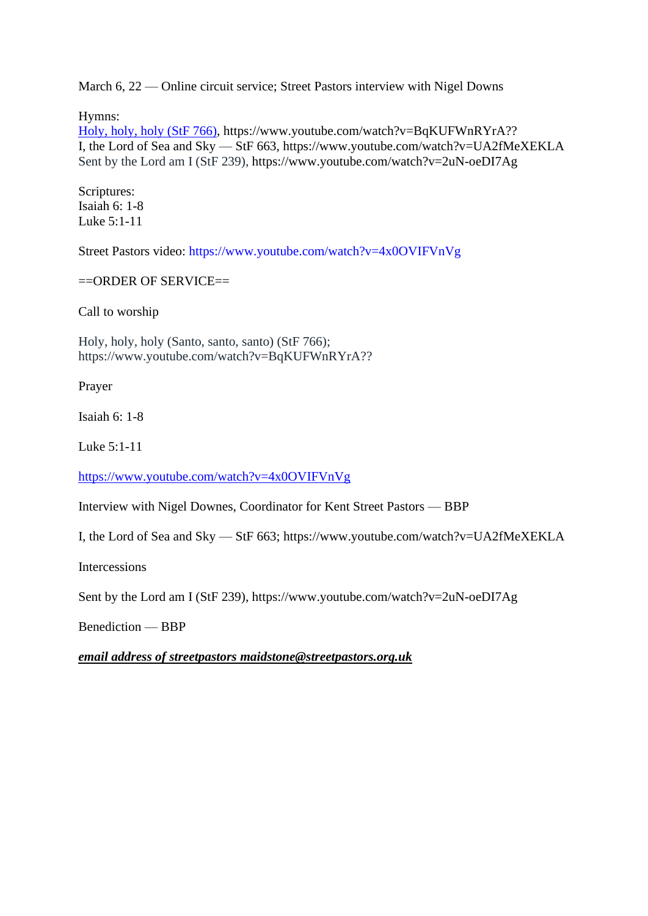March 6, 22 — Online circuit service; Street Pastors interview with Nigel Downs

Hymns:

[Holy, holy, holy \(StF 766\),](file:///F:/Documents/Onedrive/Desktop/220306%20BB/Holy,%20holy,%20holy%20(StF%20766)) https://www.youtube.com/watch?v=BqKUFWnRYrA?? I, the Lord of Sea and Sky — StF 663, https://www.youtube.com/watch?v=UA2fMeXEKLA [Sent by the Lord am I \(StF 239\),](http://www.singingthefaithplus.org.uk/?p=1360) https://www.youtube.com/watch?v=2uN-oeDI7Ag

Scriptures: Isaiah 6: 1-8 Luke 5:1-11

Street Pastors video:<https://www.youtube.com/watch?v=4x0OVIFVnVg>

 $=$ ORDER OF SERVICE $=$ 

Call to worship

[Holy, holy, holy \(Santo, santo, santo\) \(StF 766\);](http://www.singingthefaithplus.org.uk/?p=1378) https://www.youtube.com/watch?v=BqKUFWnRYrA??

Prayer

Isaiah 6: 1-8

Luke 5:1-11

<https://www.youtube.com/watch?v=4x0OVIFVnVg>

Interview with Nigel Downes, Coordinator for Kent Street Pastors — BBP

I, the Lord of Sea and Sky — StF 663; https://www.youtube.com/watch?v=UA2fMeXEKLA

Intercessions

[Sent by the Lord am I \(StF 239\),](http://www.singingthefaithplus.org.uk/?p=1360) https://www.youtube.com/watch?v=2uN-oeDI7Ag

Benediction — BBP

*email address of streetpastors maidstone@streetpastors.org.uk*